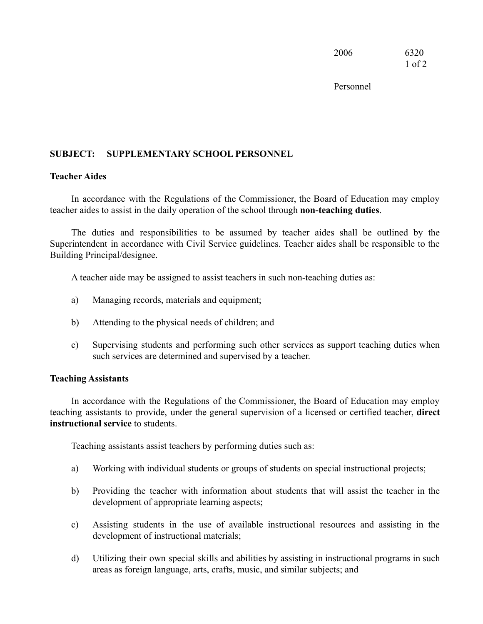2006 6320 1 of 2

Personnel

## **SUBJECT: SUPPLEMENTARY SCHOOL PERSONNEL**

## **Teacher Aides**

In accordance with the Regulations of the Commissioner, the Board of Education may employ teacher aides to assist in the daily operation of the school through **non-teaching duties**.

The duties and responsibilities to be assumed by teacher aides shall be outlined by the Superintendent in accordance with Civil Service guidelines. Teacher aides shall be responsible to the Building Principal/designee.

A teacher aide may be assigned to assist teachers in such non-teaching duties as:

- a) Managing records, materials and equipment;
- b) Attending to the physical needs of children; and
- c) Supervising students and performing such other services as support teaching duties when such services are determined and supervised by a teacher.

## **Teaching Assistants**

In accordance with the Regulations of the Commissioner, the Board of Education may employ teaching assistants to provide, under the general supervision of a licensed or certified teacher, **direct instructional service** to students.

Teaching assistants assist teachers by performing duties such as:

- a) Working with individual students or groups of students on special instructional projects;
- b) Providing the teacher with information about students that will assist the teacher in the development of appropriate learning aspects;
- c) Assisting students in the use of available instructional resources and assisting in the development of instructional materials;
- d) Utilizing their own special skills and abilities by assisting in instructional programs in such areas as foreign language, arts, crafts, music, and similar subjects; and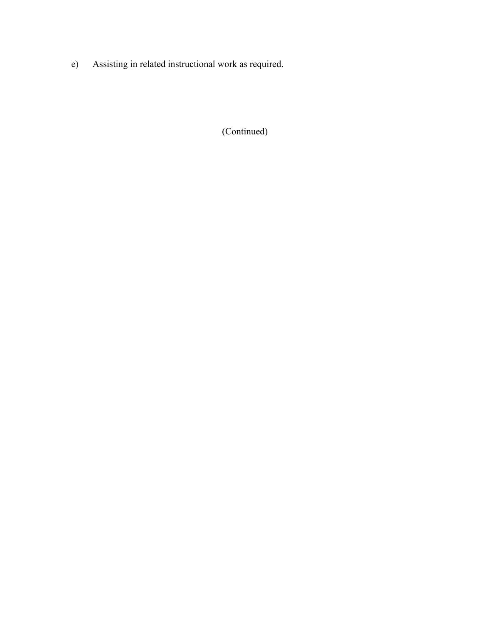e) Assisting in related instructional work as required.

(Continued)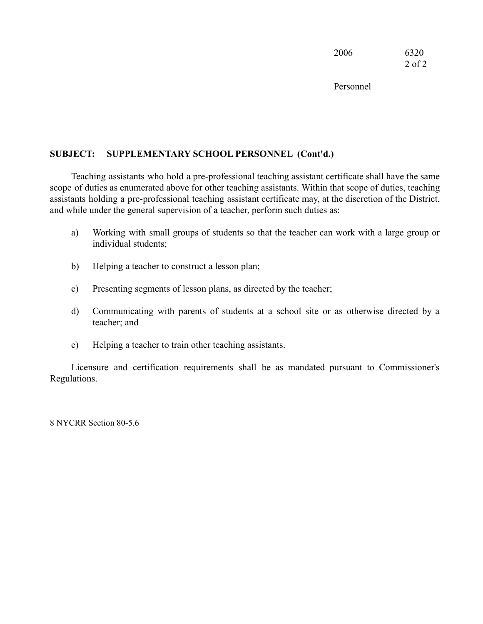2006 6320 2 of 2

Personnel

## **SUBJECT: SUPPLEMENTARY SCHOOL PERSONNEL (Cont'd.)**

Teaching assistants who hold a pre-professional teaching assistant certificate shall have the same scope of duties as enumerated above for other teaching assistants. Within that scope of duties, teaching assistants holding a pre-professional teaching assistant certificate may, at the discretion of the District, and while under the general supervision of a teacher, perform such duties as:

- a) Working with small groups of students so that the teacher can work with a large group or individual students;
- b) Helping a teacher to construct a lesson plan;
- c) Presenting segments of lesson plans, as directed by the teacher;
- d) Communicating with parents of students at a school site or as otherwise directed by a teacher; and
- e) Helping a teacher to train other teaching assistants.

Licensure and certification requirements shall be as mandated pursuant to Commissioner's Regulations.

8 NYCRR Section 80-5.6